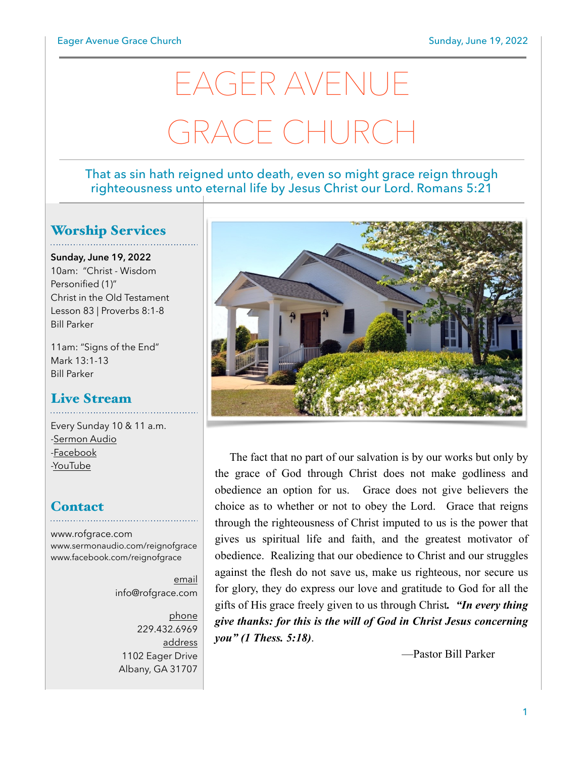# EAGER AVENUE GRACE CHURC

#### That as sin hath reigned unto death, even so might grace reign through righteousness unto eternal life by Jesus Christ our Lord. Romans 5:21

### Worship Services

**Sunday, June 19, 2022** 10am: "Christ - Wisdom Personified (1)" Christ in the Old Testament Lesson 83 | Proverbs 8:1-8 Bill Parker

11am: "Signs of the End" Mark 13:1-13 Bill Parker

### Live Stream

Every Sunday 10 & 11 a.m. [-Sermon Audio](http://sermonaudio.com/reignofgrace) [-Facebook](http://facebook.com/eageravechurch) [-YouTube](http://youtube.com/channel/UCu_lTHCIUOK0cka9AjFV_5Q/live)

#### **Contact**

[www.rofgrace.com](http://www.rofgrace.com) [www.sermonaudio.com/reignofgrace](http://www.sermonaudio.com/reignofgrace) [www.facebook.com/reignofgrace](http://www.facebook.com/reignofgrace)

> email [info@rofgrace.com](mailto:info@rofgrace.com?subject=)

phone 229.432.6969 address 1102 Eager Drive Albany, GA 31707



The fact that no part of our salvation is by our works but only by the grace of God through Christ does not make godliness and obedience an option for us. Grace does not give believers the choice as to whether or not to obey the Lord. Grace that reigns through the righteousness of Christ imputed to us is the power that gives us spiritual life and faith, and the greatest motivator of obedience. Realizing that our obedience to Christ and our struggles against the flesh do not save us, make us righteous, nor secure us for glory, they do express our love and gratitude to God for all the gifts of His grace freely given to us through Christ*. "In every thing give thanks: for this is the will of God in Christ Jesus concerning you" (1 Thess. 5:18)*.

—Pastor Bill Parker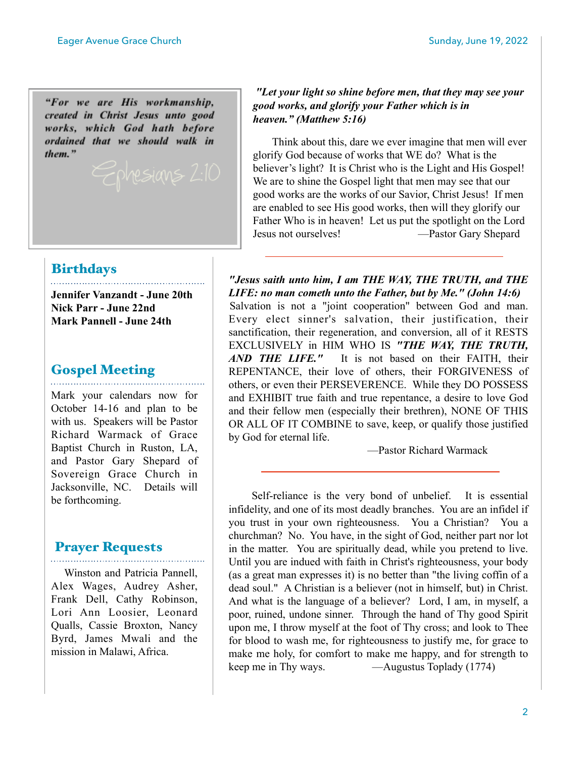"For we are His workmanship, created in Christ Jesus unto good works, which God hath before ordained that we should walk in them."

## *heaven." (Matthew 5:16)* Think about this, dare we ever imagine that men will ever

*good works, and glorify your Father which is in* 

glorify God because of works that WE do? What is the believer's light? It is Christ who is the Light and His Gospel! We are to shine the Gospel light that men may see that our good works are the works of our Savior, Christ Jesus! If men are enabled to see His good works, then will they glorify our Father Who is in heaven! Let us put the spotlight on the Lord Jesus not ourselves! —Pastor Gary Shepard

 *"Let your light so shine before men, that they may see your* 

#### **Birthdays**

**Jennifer Vanzandt - June 20th Nick Parr - June 22nd Mark Pannell - June 24th** 

#### Gospel Meeting

Mark your calendars now for October 14-16 and plan to be with us. Speakers will be Pastor Richard Warmack of Grace Baptist Church in Ruston, LA, and Pastor Gary Shepard of Sovereign Grace Church in Jacksonville, NC. Details will be forthcoming.

#### Prayer Requests

. . . . . . . . . . . .

 Winston and Patricia Pannell, Alex Wages, Audrey Asher, Frank Dell, Cathy Robinson, Lori Ann Loosier, Leonard Qualls, Cassie Broxton, Nancy Byrd, James Mwali and the mission in Malawi, Africa.

*"Jesus saith unto him, I am THE WAY, THE TRUTH, and THE LIFE: no man cometh unto the Father, but by Me." (John 14:6)* Salvation is not a "joint cooperation" between God and man. Every elect sinner's salvation, their justification, their sanctification, their regeneration, and conversion, all of it RESTS EXCLUSIVELY in HIM WHO IS *"THE WAY, THE TRUTH, AND THE LIFE."* It is not based on their FAITH, their REPENTANCE, their love of others, their FORGIVENESS of others, or even their PERSEVERENCE. While they DO POSSESS and EXHIBIT true faith and true repentance, a desire to love God and their fellow men (especially their brethren), NONE OF THIS OR ALL OF IT COMBINE to save, keep, or qualify those justified by God for eternal life.

—Pastor Richard Warmack

 Self-reliance is the very bond of unbelief. It is essential infidelity, and one of its most deadly branches. You are an infidel if you trust in your own righteousness. You a Christian? You a churchman? No. You have, in the sight of God, neither part nor lot in the matter. You are spiritually dead, while you pretend to live. Until you are indued with faith in Christ's righteousness, your body (as a great man expresses it) is no better than "the living coffin of a dead soul." A Christian is a believer (not in himself, but) in Christ. And what is the language of a believer? Lord, I am, in myself, a poor, ruined, undone sinner. Through the hand of Thy good Spirit upon me, I throw myself at the foot of Thy cross; and look to Thee for blood to wash me, for righteousness to justify me, for grace to make me holy, for comfort to make me happy, and for strength to keep me in Thy ways. —Augustus Toplady (1774)